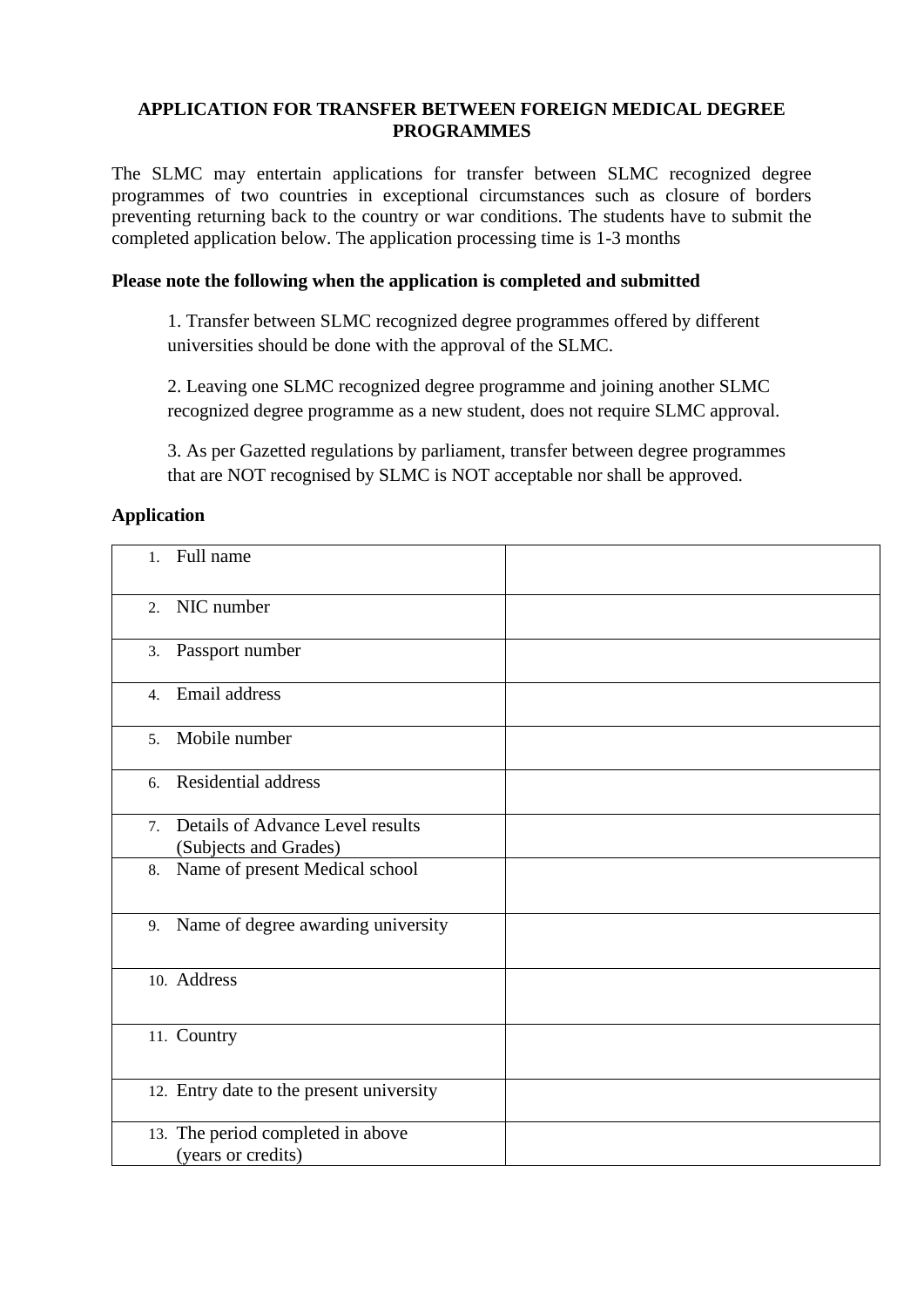#### **APPLICATION FOR TRANSFER BETWEEN FOREIGN MEDICAL DEGREE PROGRAMMES**

The SLMC may entertain applications for transfer between SLMC recognized degree programmes of two countries in exceptional circumstances such as closure of borders preventing returning back to the country or war conditions. The students have to submit the completed application below. The application processing time is 1-3 months

#### **Please note the following when the application is completed and submitted**

1. Transfer between SLMC recognized degree programmes offered by different universities should be done with the approval of the SLMC.

2. Leaving one SLMC recognized degree programme and joining another SLMC recognized degree programme as a new student, does not require SLMC approval.

3. As per Gazetted regulations by parliament, transfer between degree programmes that are NOT recognised by SLMC is NOT acceptable nor shall be approved.

#### **Application**

| 1.             | Full name                                                    |  |
|----------------|--------------------------------------------------------------|--|
|                | 2. NIC number                                                |  |
|                | 3. Passport number                                           |  |
|                | 4. Email address                                             |  |
| 5 <sub>1</sub> | Mobile number                                                |  |
|                | 6. Residential address                                       |  |
|                | 7. Details of Advance Level results<br>(Subjects and Grades) |  |
|                | 8. Name of present Medical school                            |  |
|                | 9. Name of degree awarding university                        |  |
|                | 10. Address                                                  |  |
|                | 11. Country                                                  |  |
|                | 12. Entry date to the present university                     |  |
|                | 13. The period completed in above<br>(years or credits)      |  |